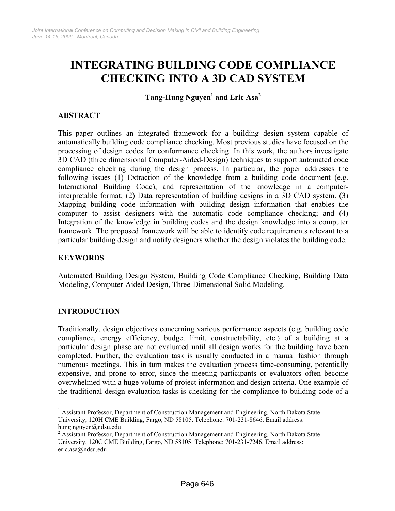# **INTEGRATING BUILDING CODE COMPLIANCE CHECKING INTO A 3D CAD SYSTEM**

**Tang-Hung Nguye[n1](#page-0-0) and Eric Asa[2](#page-0-1)**

# **ABSTRACT**

This paper outlines an integrated framework for a building design system capable of automatically building code compliance checking. Most previous studies have focused on the processing of design codes for conformance checking. In this work, the authors investigate 3D CAD (three dimensional Computer-Aided-Design) techniques to support automated code compliance checking during the design process. In particular, the paper addresses the following issues (1) Extraction of the knowledge from a building code document (e.g. International Building Code), and representation of the knowledge in a computerinterpretable format; (2) Data representation of building designs in a 3D CAD system. (3) Mapping building code information with building design information that enables the computer to assist designers with the automatic code compliance checking; and (4) Integration of the knowledge in building codes and the design knowledge into a computer framework. The proposed framework will be able to identify code requirements relevant to a particular building design and notify designers whether the design violates the building code.

# **KEYWORDS**

Automated Building Design System, Building Code Compliance Checking, Building Data Modeling, Computer-Aided Design, Three-Dimensional Solid Modeling.

# **INTRODUCTION**

 $\overline{a}$ 

Traditionally, design objectives concerning various performance aspects (e.g. building code compliance, energy efficiency, budget limit, constructability, etc.) of a building at a particular design phase are not evaluated until all design works for the building have been completed. Further, the evaluation task is usually conducted in a manual fashion through numerous meetings. This in turn makes the evaluation process time-consuming, potentially expensive, and prone to error, since the meeting participants or evaluators often become overwhelmed with a huge volume of project information and design criteria. One example of the traditional design evaluation tasks is checking for the compliance to building code of a

<span id="page-0-0"></span><sup>&</sup>lt;sup>1</sup> Assistant Professor, Department of Construction Management and Engineering, North Dakota State University, 120H CME Building, Fargo, ND 58105. Telephone: 701-231-8646. Email address: hung.nguyen@ndsu.edu 2

<span id="page-0-1"></span><sup>&</sup>lt;sup>2</sup> Assistant Professor, Department of Construction Management and Engineering, North Dakota State University, 120C CME Building, Fargo, ND 58105. Telephone: 701-231-7246. Email address: eric.asa@ndsu.edu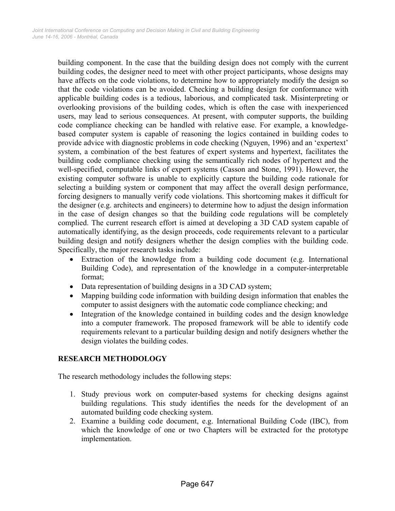building component. In the case that the building design does not comply with the current building codes, the designer need to meet with other project participants, whose designs may have affects on the code violations, to determine how to appropriately modify the design so that the code violations can be avoided. Checking a building design for conformance with applicable building codes is a tedious, laborious, and complicated task. Misinterpreting or overlooking provisions of the building codes, which is often the case with inexperienced users, may lead to serious consequences. At present, with computer supports, the building code compliance checking can be handled with relative ease. For example, a knowledgebased computer system is capable of reasoning the logics contained in building codes to provide advice with diagnostic problems in code checking (Nguyen, 1996) and an 'expertext' system, a combination of the best features of expert systems and hypertext, facilitates the building code compliance checking using the semantically rich nodes of hypertext and the well-specified, computable links of expert systems (Casson and Stone, 1991). However, the existing computer software is unable to explicitly capture the building code rationale for selecting a building system or component that may affect the overall design performance, forcing designers to manually verify code violations. This shortcoming makes it difficult for the designer (e.g. architects and engineers) to determine how to adjust the design information in the case of design changes so that the building code regulations will be completely complied. The current research effort is aimed at developing a 3D CAD system capable of automatically identifying, as the design proceeds, code requirements relevant to a particular building design and notify designers whether the design complies with the building code. Specifically, the major research tasks include:

- Extraction of the knowledge from a building code document (e.g. International Building Code), and representation of the knowledge in a computer-interpretable format;
- Data representation of building designs in a 3D CAD system;
- Mapping building code information with building design information that enables the computer to assist designers with the automatic code compliance checking; and
- Integration of the knowledge contained in building codes and the design knowledge into a computer framework. The proposed framework will be able to identify code requirements relevant to a particular building design and notify designers whether the design violates the building codes.

# **RESEARCH METHODOLOGY**

The research methodology includes the following steps:

- 1. Study previous work on computer-based systems for checking designs against building regulations. This study identifies the needs for the development of an automated building code checking system.
- 2. Examine a building code document, e.g. International Building Code (IBC), from which the knowledge of one or two Chapters will be extracted for the prototype implementation.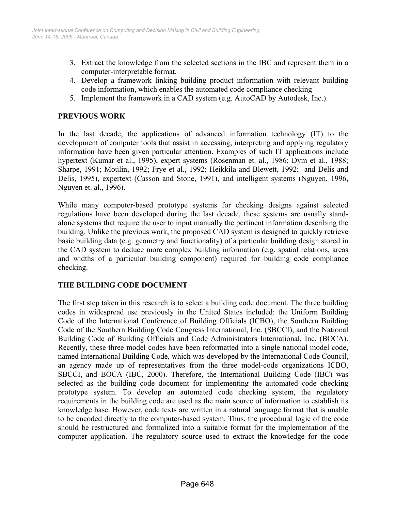- 3. Extract the knowledge from the selected sections in the IBC and represent them in a computer-interpretable format.
- 4. Develop a framework linking building product information with relevant building code information, which enables the automated code compliance checking
- 5. Implement the framework in a CAD system (e.g. AutoCAD by Autodesk, Inc.).

### **PREVIOUS WORK**

In the last decade, the applications of advanced information technology (IT) to the development of computer tools that assist in accessing, interpreting and applying regulatory information have been given particular attention. Examples of such IT applications include hypertext (Kumar et al., 1995), expert systems (Rosenman et. al., 1986; Dym et al., 1988; Sharpe, 1991; Moulin, 1992; Frye et al., 1992; Heikkila and Blewett, 1992; and Delis and Delis, 1995), expertext (Casson and Stone, 1991), and intelligent systems (Nguyen, 1996, Nguyen et. al., 1996).

While many computer-based prototype systems for checking designs against selected regulations have been developed during the last decade, these systems are usually standalone systems that require the user to input manually the pertinent information describing the building. Unlike the previous work, the proposed CAD system is designed to quickly retrieve basic building data (e.g. geometry and functionality) of a particular building design stored in the CAD system to deduce more complex building information (e.g. spatial relations, areas and widths of a particular building component) required for building code compliance checking.

# **THE BUILDING CODE DOCUMENT**

The first step taken in this research is to select a building code document. The three building codes in widespread use previously in the United States included: the Uniform Building Code of the International Conference of Building Officials (ICBO), the Southern Building Code of the Southern Building Code Congress International, Inc. (SBCCI), and the National Building Code of Building Officials and Code Administrators International, Inc. (BOCA). Recently, these three model codes have been reformatted into a single national model code, named International Building Code, which was developed by the International Code Council, an agency made up of representatives from the three model-code organizations ICBO, SBCCI, and BOCA (IBC, 2000). Therefore, the International Building Code (IBC) was selected as the building code document for implementing the automated code checking prototype system. To develop an automated code checking system, the regulatory requirements in the building code are used as the main source of information to establish its knowledge base. However, code texts are written in a natural language format that is unable to be encoded directly to the computer-based system. Thus, the procedural logic of the code should be restructured and formalized into a suitable format for the implementation of the computer application. The regulatory source used to extract the knowledge for the code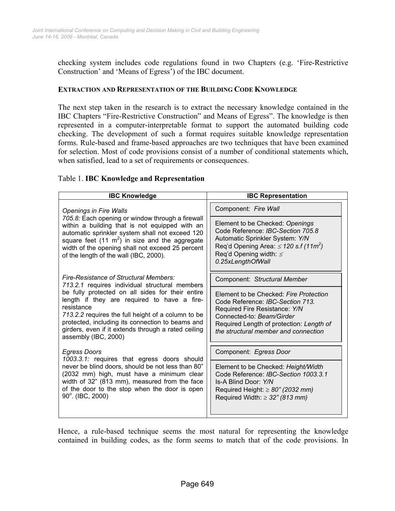checking system includes code regulations found in two Chapters (e.g. 'Fire-Restrictive Construction' and 'Means of Egress') of the IBC document.

#### **EXTRACTION AND REPRESENTATION OF THE BUILDING CODE KNOWLEDGE**

The next step taken in the research is to extract the necessary knowledge contained in the IBC Chapters "Fire-Restrictive Construction" and Means of Egress". The knowledge is then represented in a computer-interpretable format to support the automated building code checking. The development of such a format requires suitable knowledge representation forms. Rule-based and frame-based approaches are two techniques that have been examined for selection. Most of code provisions consist of a number of conditional statements which, when satisfied, lead to a set of requirements or consequences.

#### Table 1. **IBC Knowledge and Representation**

| <b>IBC Knowledge</b>                                                                                                                                                                                                                                                                                                                                                                               | <b>IBC Representation</b>                                                                                                                                                                                                    |
|----------------------------------------------------------------------------------------------------------------------------------------------------------------------------------------------------------------------------------------------------------------------------------------------------------------------------------------------------------------------------------------------------|------------------------------------------------------------------------------------------------------------------------------------------------------------------------------------------------------------------------------|
| <b>Openings in Fire Walls</b>                                                                                                                                                                                                                                                                                                                                                                      | Component: Fire Wall                                                                                                                                                                                                         |
| 705.8: Each opening or window through a firewall<br>within a building that is not equipped with an<br>automatic sprinkler system shall not exceed 120<br>square feet (11 $m2$ ) in size and the aggregate<br>width of the opening shall not exceed 25 percent<br>of the length of the wall (IBC, 2000).                                                                                            | Element to be Checked: Openings<br>Code Reference: IBC-Section 705.8<br>Automatic Sprinkler System: Y/N<br>Req'd Opening Area: $\leq$ 120 s.f (11m <sup>2</sup> )<br>Req'd Opening width: $\leq$<br>0.25xLengthOfWall        |
| Fire-Resistance of Structural Members:<br>713.2.1 requires individual structural members<br>be fully protected on all sides for their entire<br>length if they are required to have a fire-<br>resistance<br>713.2.2 requires the full height of a column to be<br>protected, including its connection to beams and<br>girders, even if it extends through a rated ceiling<br>assembly (IBC, 2000) | Component: Structural Member                                                                                                                                                                                                 |
|                                                                                                                                                                                                                                                                                                                                                                                                    | Element to be Checked: Fire Protection<br>Code Reference: IBC-Section 713.<br>Required Fire Resistance: Y/N<br>Connected-to: Beam/Girder<br>Required Length of protection: Length of<br>the structural member and connection |
| <b>Egress Doors</b><br>1003.3.1: requires that egress doors should<br>never be blind doors, should be not less than 80"<br>(2032 mm) high, must have a minimum clear<br>width of 32" (813 mm), measured from the face<br>of the door to the stop when the door is open<br>90°. (IBC, 2000)                                                                                                         | Component: Egress Door                                                                                                                                                                                                       |
|                                                                                                                                                                                                                                                                                                                                                                                                    | Element to be Checked: Height/Width<br>Code Reference: IBC-Section 1003.3.1<br>Is-A Blind Door: Y/N<br>Required Height: $\geq 80$ " (2032 mm)<br>Required Width: $\geq$ 32" (813 mm)                                         |

Hence, a rule-based technique seems the most natural for representing the knowledge contained in building codes, as the form seems to match that of the code provisions. In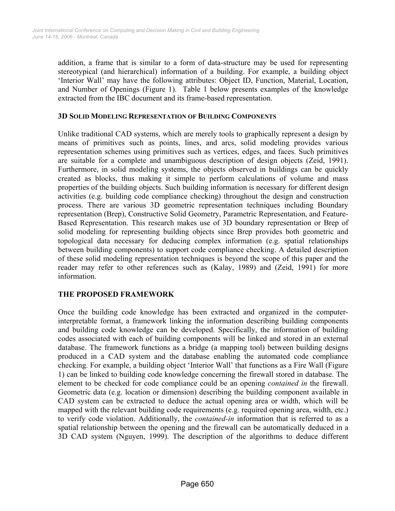addition, a frame that is similar to a form of data-structure may be used for representing stereotypical (and hierarchical) information of a building. For example, a building object 'Interior Wall' may have the following attributes: Object ID, Function, Material, Location, and Number of Openings (Figure 1). Table 1 below presents examples of the knowledge extracted from the IBC document and its frame-based representation.

#### **3D SOLID MODELING REPRESENTATION OF BUILDING COMPONENTS**

Unlike traditional CAD systems, which are merely tools to graphically represent a design by means of primitives such as points, lines, and arcs, solid modeling provides various representation schemes using primitives such as vertices, edges, and faces. Such primitives are suitable for a complete and unambiguous description of design objects (Zeid, 1991). Furthermore, in solid modeling systems, the objects observed in buildings can be quickly created as blocks, thus making it simple to perform calculations of volume and mass properties of the building objects. Such building information is necessary for different design activities (e.g. building code compliance checking) throughout the design and construction process. There are various 3D geometric representation techniques including Boundary representation (Brep), Constructive Solid Geometry, Parametric Representation, and Feature-Based Representation. This research makes use of 3D boundary representation or Brep of solid modeling for representing building objects since Brep provides both geometric and topological data necessary for deducing complex information (e.g. spatial relationships between building components) to support code compliance checking. A detailed description of these solid modeling representation techniques is beyond the scope of this paper and the reader may refer to other references such as (Kalay, 1989) and (Zeid, 1991) for more information.

# **THE PROPOSED FRAMEWORK**

Once the building code knowledge has been extracted and organized in the computerinterpretable format, a framework linking the information describing building components and building code knowledge can be developed. Specifically, the information of building codes associated with each of building components will be linked and stored in an external database. The framework functions as a bridge (a mapping tool) between building designs produced in a CAD system and the database enabling the automated code compliance checking. For example, a building object 'Interior Wall' that functions as a Fire Wall (Figure 1) can be linked to building code knowledge concerning the firewall stored in database. The element to be checked for code compliance could be an opening *contained in* the firewall. Geometric data (e.g. location or dimension) describing the building component available in CAD system can be extracted to deduce the actual opening area or width, which will be mapped with the relevant building code requirements (e.g. required opening area, width, etc.) to verify code violation. Additionally, the *contained-in* information that is referred to as a spatial relationship between the opening and the firewall can be automatically deduced in a 3D CAD system (Nguyen, 1999). The description of the algorithms to deduce different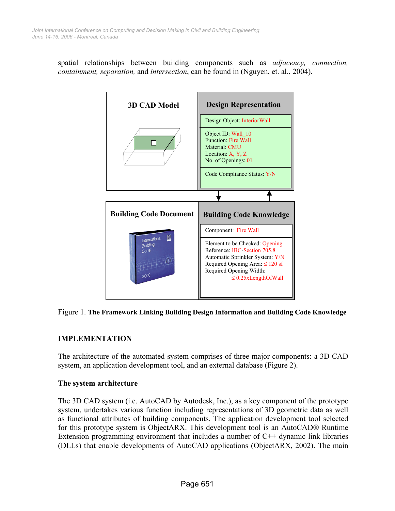spatial relationships between building components such as *adjacency, connection, containment, separation,* and *intersection*, can be found in (Nguyen, et. al., 2004).





# **IMPLEMENTATION**

The architecture of the automated system comprises of three major components: a 3D CAD system, an application development tool, and an external database (Figure 2).

# **The system architecture**

The 3D CAD system (i.e. AutoCAD by Autodesk, Inc.), as a key component of the prototype system, undertakes various function including representations of 3D geometric data as well as functional attributes of building components. The application development tool selected for this prototype system is ObjectARX. This development tool is an AutoCAD® Runtime Extension programming environment that includes a number of  $C++$  dynamic link libraries (DLLs) that enable developments of AutoCAD applications (ObjectARX, 2002). The main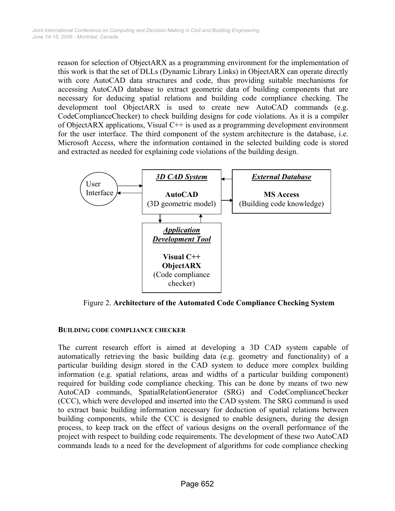reason for selection of ObjectARX as a programming environment for the implementation of this work is that the set of DLLs (Dynamic Library Links) in ObjectARX can operate directly with core AutoCAD data structures and code, thus providing suitable mechanisms for accessing AutoCAD database to extract geometric data of building components that are necessary for deducing spatial relations and building code compliance checking. The development tool ObjectARX is used to create new AutoCAD commands (e.g. CodeComplianceChecker) to check building designs for code violations. As it is a compiler of ObjectARX applications, Visual C++ is used as a programming development environment for the user interface. The third component of the system architecture is the database, i.e. Microsoft Access, where the information contained in the selected building code is stored and extracted as needed for explaining code violations of the building design.



Figure 2. **Architecture of the Automated Code Compliance Checking System**

# **BUILDING CODE COMPLIANCE CHECKER**

The current research effort is aimed at developing a 3D CAD system capable of automatically retrieving the basic building data (e.g. geometry and functionality) of a particular building design stored in the CAD system to deduce more complex building information (e.g. spatial relations, areas and widths of a particular building component) required for building code compliance checking. This can be done by means of two new AutoCAD commands, SpatialRelationGenerator (SRG) and CodeComplianceChecker (CCC), which were developed and inserted into the CAD system. The SRG command is used to extract basic building information necessary for deduction of spatial relations between building components, while the CCC is designed to enable designers, during the design process, to keep track on the effect of various designs on the overall performance of the project with respect to building code requirements. The development of these two AutoCAD commands leads to a need for the development of algorithms for code compliance checking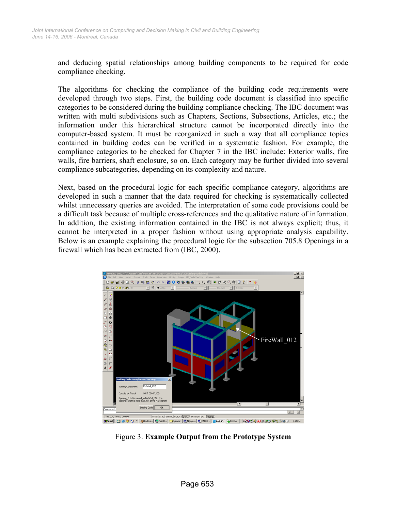and deducing spatial relationships among building components to be required for code compliance checking.

The algorithms for checking the compliance of the building code requirements were developed through two steps. First, the building code document is classified into specific categories to be considered during the building compliance checking. The IBC document was written with multi subdivisions such as Chapters, Sections, Subsections, Articles, etc.; the information under this hierarchical structure cannot be incorporated directly into the computer-based system. It must be reorganized in such a way that all compliance topics contained in building codes can be verified in a systematic fashion. For example, the compliance categories to be checked for Chapter 7 in the IBC include: Exterior walls, fire walls, fire barriers, shaft enclosure, so on. Each category may be further divided into several compliance subcategories, depending on its complexity and nature.

Next, based on the procedural logic for each specific compliance category, algorithms are developed in such a manner that the data required for checking is systematically collected whilst unnecessary queries are avoided. The interpretation of some code provisions could be a difficult task because of multiple cross-references and the qualitative nature of information. In addition, the existing information contained in the IBC is not always explicit; thus, it cannot be interpreted in a proper fashion without using appropriate analysis capability. Below is an example explaining the procedural logic for the subsection 705.8 Openings in a firewall which has been extracted from (IBC, 2000).



Figure 3. **Example Output from the Prototype System**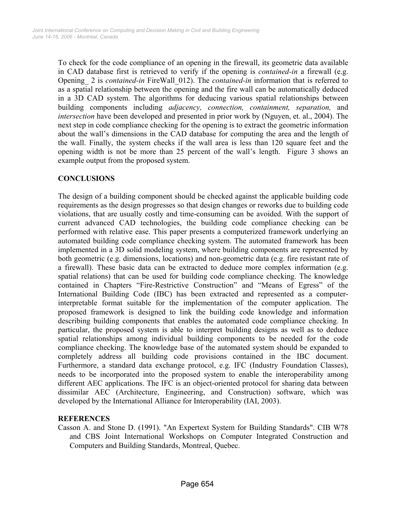To check for the code compliance of an opening in the firewall, its geometric data available in CAD database first is retrieved to verify if the opening is *contained-in* a firewall (e.g. Opening\_ 2 is *contained-in* FireWall\_012). The *contained-in* information that is referred to as a spatial relationship between the opening and the fire wall can be automatically deduced in a 3D CAD system. The algorithms for deducing various spatial relationships between building components including *adjacency, connection, containment, separation,* and *intersection* have been developed and presented in prior work by (Nguyen, et. al., 2004). The next step in code compliance checking for the opening is to extract the geometric information about the wall's dimensions in the CAD database for computing the area and the length of the wall. Finally, the system checks if the wall area is less than 120 square feet and the opening width is not be more than 25 percent of the wall's length. Figure 3 shows an example output from the proposed system.

# **CONCLUSIONS**

The design of a building component should be checked against the applicable building code requirements as the design progresses so that design changes or reworks due to building code violations, that are usually costly and time-consuming can be avoided. With the support of current advanced CAD technologies, the building code compliance checking can be performed with relative ease. This paper presents a computerized framework underlying an automated building code compliance checking system. The automated framework has been implemented in a 3D solid modeling system, where building components are represented by both geometric (e.g. dimensions, locations) and non-geometric data (e.g. fire resistant rate of a firewall). These basic data can be extracted to deduce more complex information (e.g. spatial relations) that can be used for building code compliance checking. The knowledge contained in Chapters "Fire-Restrictive Construction" and "Means of Egress" of the International Building Code (IBC) has been extracted and represented as a computerinterpretable format suitable for the implementation of the computer application. The proposed framework is designed to link the building code knowledge and information describing building components that enables the automated code compliance checking. In particular, the proposed system is able to interpret building designs as well as to deduce spatial relationships among individual building components to be needed for the code compliance checking. The knowledge base of the automated system should be expanded to completely address all building code provisions contained in the IBC document. Furthermore, a standard data exchange protocol, e.g. IFC (Industry Foundation Classes), needs to be incorporated into the proposed system to enable the interoperability among different AEC applications. The IFC is an object-oriented protocol for sharing data between dissimilar AEC (Architecture, Engineering, and Construction) software, which was developed by the International Alliance for Interoperability (IAI, 2003).

# **REFERENCES**

Casson A. and Stone D. (1991). "An Expertext System for Building Standards". CIB W78 and CBS Joint International Workshops on Computer Integrated Construction and Computers and Building Standards, Montreal, Quebec.